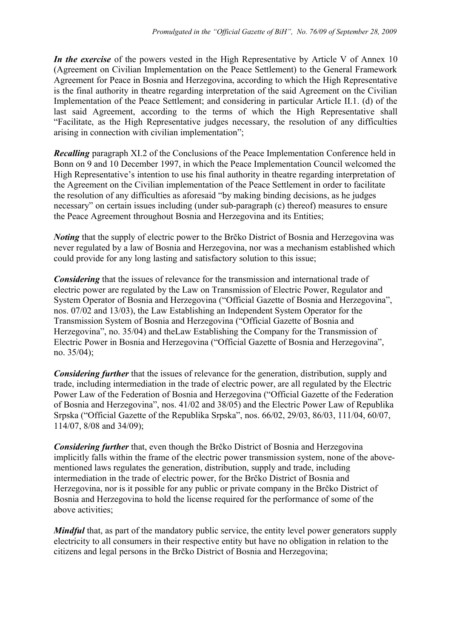*In the exercise* of the powers vested in the High Representative by Article V of Annex 10 (Agreement on Civilian Implementation on the Peace Settlement) to the General Framework Agreement for Peace in Bosnia and Herzegovina, according to which the High Representative is the final authority in theatre regarding interpretation of the said Agreement on the Civilian Implementation of the Peace Settlement; and considering in particular Article II.1. (d) of the last said Agreement, according to the terms of which the High Representative shall "Facilitate, as the High Representative judges necessary, the resolution of any difficulties arising in connection with civilian implementation";

*Recalling* paragraph XI.2 of the Conclusions of the Peace Implementation Conference held in Bonn on 9 and 10 December 1997, in which the Peace Implementation Council welcomed the High Representative's intention to use his final authority in theatre regarding interpretation of the Agreement on the Civilian implementation of the Peace Settlement in order to facilitate the resolution of any difficulties as aforesaid "by making binding decisions, as he judges necessary" on certain issues including (under sub-paragraph (c) thereof) measures to ensure the Peace Agreement throughout Bosnia and Herzegovina and its Entities;

*Noting* that the supply of electric power to the Brčko District of Bosnia and Herzegovina was never regulated by a law of Bosnia and Herzegovina, nor was a mechanism established which could provide for any long lasting and satisfactory solution to this issue;

*Considering* that the issues of relevance for the transmission and international trade of electric power are regulated by the Law on Transmission of Electric Power, Regulator and System Operator of Bosnia and Herzegovina ("Official Gazette of Bosnia and Herzegovina", nos. 07/02 and 13/03), the Law Establishing an Independent System Operator for the Transmission System of Bosnia and Herzegovina ("Official Gazette of Bosnia and Herzegovina", no. 35/04) and theLaw Establishing the Company for the Transmission of Electric Power in Bosnia and Herzegovina ("Official Gazette of Bosnia and Herzegovina", no. 35/04);

*Considering further* that the issues of relevance for the generation, distribution, supply and trade, including intermediation in the trade of electric power, are all regulated by the Electric Power Law of the Federation of Bosnia and Herzegovina ("Official Gazette of the Federation of Bosnia and Herzegovina", nos. 41/02 and 38/05) and the Electric Power Law of Republika Srpska ("Official Gazette of the Republika Srpska", nos. 66/02, 29/03, 86/03, 111/04, 60/07, 114/07, 8/08 and 34/09);

*Considering further* that, even though the Brčko District of Bosnia and Herzegovina implicitly falls within the frame of the electric power transmission system, none of the abovementioned laws regulates the generation, distribution, supply and trade, including intermediation in the trade of electric power, for the Brčko District of Bosnia and Herzegovina, nor is it possible for any public or private company in the Brčko District of Bosnia and Herzegovina to hold the license required for the performance of some of the above activities;

*Mindful* that, as part of the mandatory public service, the entity level power generators supply electricity to all consumers in their respective entity but have no obligation in relation to the citizens and legal persons in the Brčko District of Bosnia and Herzegovina;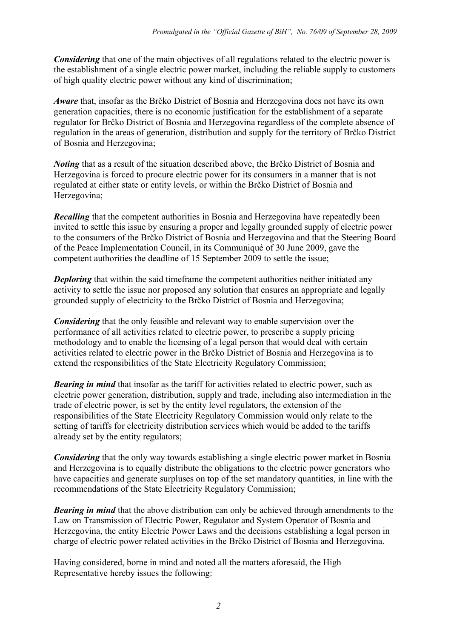*Considering* that one of the main objectives of all regulations related to the electric power is the establishment of a single electric power market, including the reliable supply to customers of high quality electric power without any kind of discrimination;

*Aware* that, insofar as the Brčko District of Bosnia and Herzegovina does not have its own generation capacities, there is no economic justification for the establishment of a separate regulator for Brčko District of Bosnia and Herzegovina regardless of the complete absence of regulation in the areas of generation, distribution and supply for the territory of Brčko District of Bosnia and Herzegovina;

*Noting* that as a result of the situation described above, the Brčko District of Bosnia and Herzegovina is forced to procure electric power for its consumers in a manner that is not regulated at either state or entity levels, or within the Brčko District of Bosnia and Herzegovina;

*Recalling* that the competent authorities in Bosnia and Herzegovina have repeatedly been invited to settle this issue by ensuring a proper and legally grounded supply of electric power to the consumers of the Brčko District of Bosnia and Herzegovina and that the Steering Board of the Peace Implementation Council, in its Communiqué of 30 June 2009, gave the competent authorities the deadline of 15 September 2009 to settle the issue;

*Deploring* that within the said timeframe the competent authorities neither initiated any activity to settle the issue nor proposed any solution that ensures an appropriate and legally grounded supply of electricity to the Brčko District of Bosnia and Herzegovina;

*Considering* that the only feasible and relevant way to enable supervision over the performance of all activities related to electric power, to prescribe a supply pricing methodology and to enable the licensing of a legal person that would deal with certain activities related to electric power in the Brčko District of Bosnia and Herzegovina is to extend the responsibilities of the State Electricity Regulatory Commission;

*Bearing in mind* that insofar as the tariff for activities related to electric power, such as electric power generation, distribution, supply and trade, including also intermediation in the trade of electric power, is set by the entity level regulators, the extension of the responsibilities of the State Electricity Regulatory Commission would only relate to the setting of tariffs for electricity distribution services which would be added to the tariffs already set by the entity regulators;

*Considering* that the only way towards establishing a single electric power market in Bosnia and Herzegovina is to equally distribute the obligations to the electric power generators who have capacities and generate surpluses on top of the set mandatory quantities, in line with the recommendations of the State Electricity Regulatory Commission;

*Bearing in mind* that the above distribution can only be achieved through amendments to the Law on Transmission of Electric Power, Regulator and System Operator of Bosnia and Herzegovina, the entity Electric Power Laws and the decisions establishing a legal person in charge of electric power related activities in the Brčko District of Bosnia and Herzegovina.

Having considered, borne in mind and noted all the matters aforesaid, the High Representative hereby issues the following: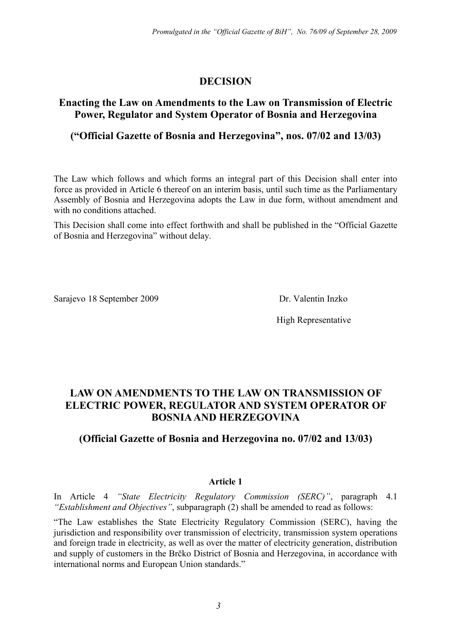# **DECISION**

## **Enacting the Law on Amendments to the Law on Transmission of Electric Power, Regulator and System Operator of Bosnia and Herzegovina**

## **("Official Gazette of Bosnia and Herzegovina", nos. 07/02 and 13/03)**

The Law which follows and which forms an integral part of this Decision shall enter into force as provided in Article 6 thereof on an interim basis, until such time as the Parliamentary Assembly of Bosnia and Herzegovina adopts the Law in due form, without amendment and with no conditions attached.

This Decision shall come into effect forthwith and shall be published in the "Official Gazette of Bosnia and Herzegovina" without delay.

Sarajevo 18 September 2009 Dr. Valentin Inzko

High Representative

# **LAW ON AMENDMENTS TO THE LAW ON TRANSMISSION OF ELECTRIC POWER, REGULATOR AND SYSTEM OPERATOR OF BOSNIA AND HERZEGOVINA**

## **(Official Gazette of Bosnia and Herzegovina no. 07/02 and 13/03)**

### **Article 1**

In Article 4 *"State Electricity Regulatory Commission (SERC)"*, paragraph 4.1 *"Establishment and Objectives"*, subparagraph (2) shall be amended to read as follows:

"The Law establishes the State Electricity Regulatory Commission (SERC), having the jurisdiction and responsibility over transmission of electricity, transmission system operations and foreign trade in electricity, as well as over the matter of electricity generation, distribution and supply of customers in the Brčko District of Bosnia and Herzegovina, in accordance with international norms and European Union standards."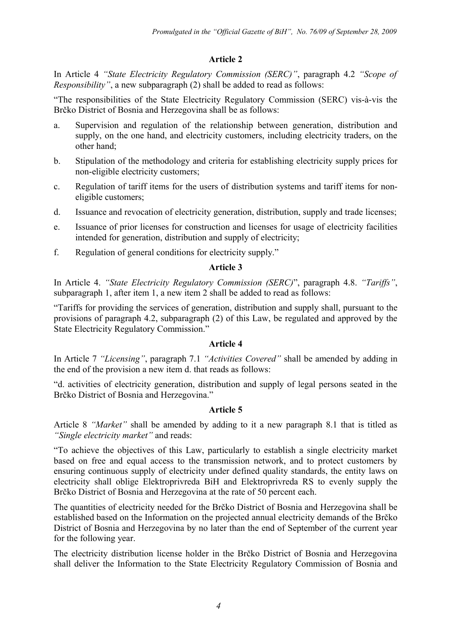## **Article 2**

In Article 4 *"State Electricity Regulatory Commission (SERC)"*, paragraph 4.2 *"Scope of Responsibility"*, a new subparagraph (2) shall be added to read as follows:

"The responsibilities of the State Electricity Regulatory Commission (SERC) vis-à-vis the Brčko District of Bosnia and Herzegovina shall be as follows:

- a. Supervision and regulation of the relationship between generation, distribution and supply, on the one hand, and electricity customers, including electricity traders, on the other hand;
- b. Stipulation of the methodology and criteria for establishing electricity supply prices for non-eligible electricity customers;
- c. Regulation of tariff items for the users of distribution systems and tariff items for noneligible customers;
- d. Issuance and revocation of electricity generation, distribution, supply and trade licenses;
- e. Issuance of prior licenses for construction and licenses for usage of electricity facilities intended for generation, distribution and supply of electricity;
- f. Regulation of general conditions for electricity supply."

## **Article 3**

In Article 4. *"State Electricity Regulatory Commission (SERC)*", paragraph 4.8. *"Tariffs"*, subparagraph 1, after item 1, a new item 2 shall be added to read as follows:

"Tariffs for providing the services of generation, distribution and supply shall, pursuant to the provisions of paragraph 4.2, subparagraph (2) of this Law, be regulated and approved by the State Electricity Regulatory Commission."

### **Article 4**

In Article 7 *"Licensing"*, paragraph 7.1 *"Activities Covered"* shall be amended by adding in the end of the provision a new item d. that reads as follows:

"d. activities of electricity generation, distribution and supply of legal persons seated in the Brčko District of Bosnia and Herzegovina."

### **Article 5**

Article 8 *"Market"* shall be amended by adding to it a new paragraph 8.1 that is titled as *"Single electricity market"* and reads:

"To achieve the objectives of this Law, particularly to establish a single electricity market based on free and equal access to the transmission network, and to protect customers by ensuring continuous supply of electricity under defined quality standards, the entity laws on electricity shall oblige Elektroprivreda BiH and Elektroprivreda RS to evenly supply the Brčko District of Bosnia and Herzegovina at the rate of 50 percent each.

The quantities of electricity needed for the Brčko District of Bosnia and Herzegovina shall be established based on the Information on the projected annual electricity demands of the Brčko District of Bosnia and Herzegovina by no later than the end of September of the current year for the following year.

The electricity distribution license holder in the Brčko District of Bosnia and Herzegovina shall deliver the Information to the State Electricity Regulatory Commission of Bosnia and